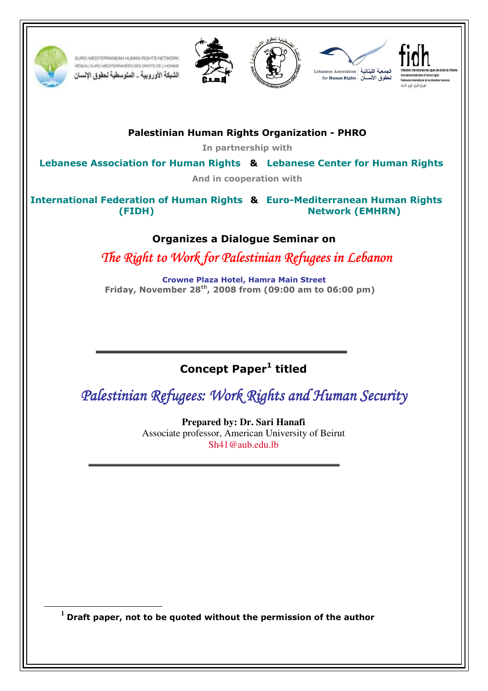

 $\overline{a}$ 

EURO-MEDITERRANEAN HUMAN RIGHTS NETWORK RÉSEAU EURO-MÉDITERRANÉEN DES DROITS DE L'HOMME الشبكة الأوروبية \_ المتوسطية لحقوق الإنسان









Palestinian Human Rights Organization - PHRO

In partnership with

Lebanese Association for Human Rights & Lebanese Center for Human Rights

And in cooperation with

 & International Federation of Human Rights Euro-Mediterranean Human Rights (FIDH) Network (EMHRN)

## Organizes a Dialogue Seminar on

The Right to Work for Palestinian Refugees in Lebanon

Crowne Plaza Hotel, Hamra Main Street Friday, November 28th, 2008 from (09:00 am to 06:00 pm)

# Concept Paper<sup>1</sup> titled

Palestinian Refugees: Work Rights and Human Security

**Prepared by: Dr. Sari Hanafi**  Associate professor, American University of Beirut Sh41@aub.edu.lb

**<sup>1</sup>** Draft paper, not to be quoted without the permission of the author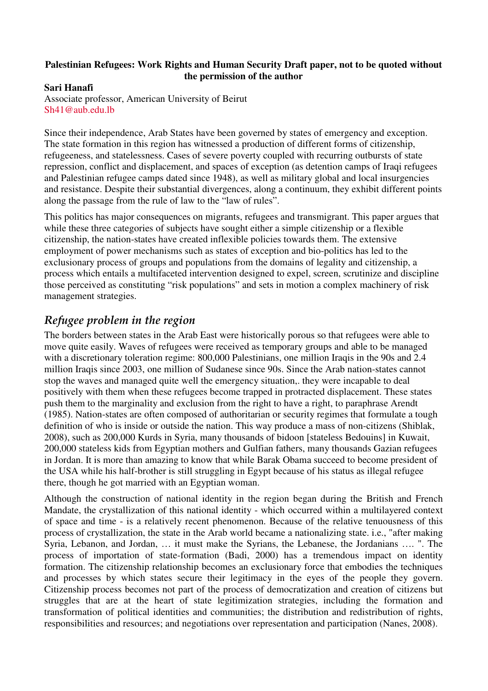#### **Palestinian Refugees: Work Rights and Human Security Draft paper, not to be quoted without the permission of the author**

### **Sari Hanafi**

Associate professor, American University of Beirut Sh41@aub.edu.lb

Since their independence, Arab States have been governed by states of emergency and exception. The state formation in this region has witnessed a production of different forms of citizenship, refugeeness, and statelessness. Cases of severe poverty coupled with recurring outbursts of state repression, conflict and displacement, and spaces of exception (as detention camps of Iraqi refugees and Palestinian refugee camps dated since 1948), as well as military global and local insurgencies and resistance. Despite their substantial divergences, along a continuum, they exhibit different points along the passage from the rule of law to the "law of rules".

This politics has major consequences on migrants, refugees and transmigrant. This paper argues that while these three categories of subjects have sought either a simple citizenship or a flexible citizenship, the nation-states have created inflexible policies towards them. The extensive employment of power mechanisms such as states of exception and bio-politics has led to the exclusionary process of groups and populations from the domains of legality and citizenship, a process which entails a multifaceted intervention designed to expel, screen, scrutinize and discipline those perceived as constituting "risk populations" and sets in motion a complex machinery of risk management strategies.

# Refugee problem in the region

The borders between states in the Arab East were historically porous so that refugees were able to move quite easily. Waves of refugees were received as temporary groups and able to be managed with a discretionary toleration regime: 800,000 Palestinians, one million Iraqis in the 90s and 2.4 million Iraqis since 2003, one million of Sudanese since 90s. Since the Arab nation-states cannot stop the waves and managed quite well the emergency situation,. they were incapable to deal positively with them when these refugees become trapped in protracted displacement. These states push them to the marginality and exclusion from the right to have a right, to paraphrase Arendt (1985). Nation-states are often composed of authoritarian or security regimes that formulate a tough definition of who is inside or outside the nation. This way produce a mass of non-citizens (Shiblak, 2008), such as 200,000 Kurds in Syria, many thousands of bidoon [stateless Bedouins] in Kuwait, 200,000 stateless kids from Egyptian mothers and Gulfian fathers, many thousands Gazian refugees in Jordan. It is more than amazing to know that while Barak Obama succeed to become president of the USA while his half-brother is still struggling in Egypt because of his status as illegal refugee there, though he got married with an Egyptian woman.

Although the construction of national identity in the region began during the British and French Mandate, the crystallization of this national identity - which occurred within a multilayered context of space and time - is a relatively recent phenomenon. Because of the relative tenuousness of this process of crystallization, the state in the Arab world became a nationalizing state. i.e., "after making Syria, Lebanon, and Jordan, … it must make the Syrians, the Lebanese, the Jordanians …. ". The process of importation of state-formation (Badi, 2000) has a tremendous impact on identity formation. The citizenship relationship becomes an exclusionary force that embodies the techniques and processes by which states secure their legitimacy in the eyes of the people they govern. Citizenship process becomes not part of the process of democratization and creation of citizens but struggles that are at the heart of state legitimization strategies, including the formation and transformation of political identities and communities; the distribution and redistribution of rights, responsibilities and resources; and negotiations over representation and participation (Nanes, 2008).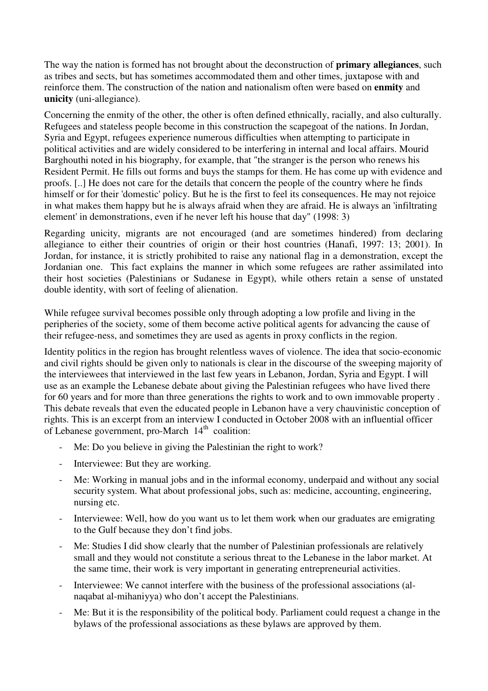The way the nation is formed has not brought about the deconstruction of **primary allegiances**, such as tribes and sects, but has sometimes accommodated them and other times, juxtapose with and reinforce them. The construction of the nation and nationalism often were based on **enmity** and **unicity** (uni-allegiance).

Concerning the enmity of the other, the other is often defined ethnically, racially, and also culturally. Refugees and stateless people become in this construction the scapegoat of the nations. In Jordan, Syria and Egypt, refugees experience numerous difficulties when attempting to participate in political activities and are widely considered to be interfering in internal and local affairs. Mourid Barghouthi noted in his biography, for example, that "the stranger is the person who renews his Resident Permit. He fills out forms and buys the stamps for them. He has come up with evidence and proofs. [..] He does not care for the details that concern the people of the country where he finds himself or for their 'domestic' policy. But he is the first to feel its consequences. He may not rejoice in what makes them happy but he is always afraid when they are afraid. He is always an 'infiltrating element' in demonstrations, even if he never left his house that day" (1998: 3)

Regarding unicity, migrants are not encouraged (and are sometimes hindered) from declaring allegiance to either their countries of origin or their host countries (Hanafi, 1997: 13; 2001). In Jordan, for instance, it is strictly prohibited to raise any national flag in a demonstration, except the Jordanian one. This fact explains the manner in which some refugees are rather assimilated into their host societies (Palestinians or Sudanese in Egypt), while others retain a sense of unstated double identity, with sort of feeling of alienation.

While refugee survival becomes possible only through adopting a low profile and living in the peripheries of the society, some of them become active political agents for advancing the cause of their refugee-ness, and sometimes they are used as agents in proxy conflicts in the region.

Identity politics in the region has brought relentless waves of violence. The idea that socio-economic and civil rights should be given only to nationals is clear in the discourse of the sweeping majority of the interviewees that interviewed in the last few years in Lebanon, Jordan, Syria and Egypt. I will use as an example the Lebanese debate about giving the Palestinian refugees who have lived there for 60 years and for more than three generations the rights to work and to own immovable property . This debate reveals that even the educated people in Lebanon have a very chauvinistic conception of rights. This is an excerpt from an interview I conducted in October 2008 with an influential officer of Lebanese government, pro-March  $14<sup>th</sup>$  coalition:

- Me: Do you believe in giving the Palestinian the right to work?
- Interviewee: But they are working.
- Me: Working in manual jobs and in the informal economy, underpaid and without any social security system. What about professional jobs, such as: medicine, accounting, engineering, nursing etc.
- Interviewee: Well, how do you want us to let them work when our graduates are emigrating to the Gulf because they don't find jobs.
- Me: Studies I did show clearly that the number of Palestinian professionals are relatively small and they would not constitute a serious threat to the Lebanese in the labor market. At the same time, their work is very important in generating entrepreneurial activities.
- Interviewee: We cannot interfere with the business of the professional associations (alnaqabat al-mihaniyya) who don't accept the Palestinians.
- Me: But it is the responsibility of the political body. Parliament could request a change in the bylaws of the professional associations as these bylaws are approved by them.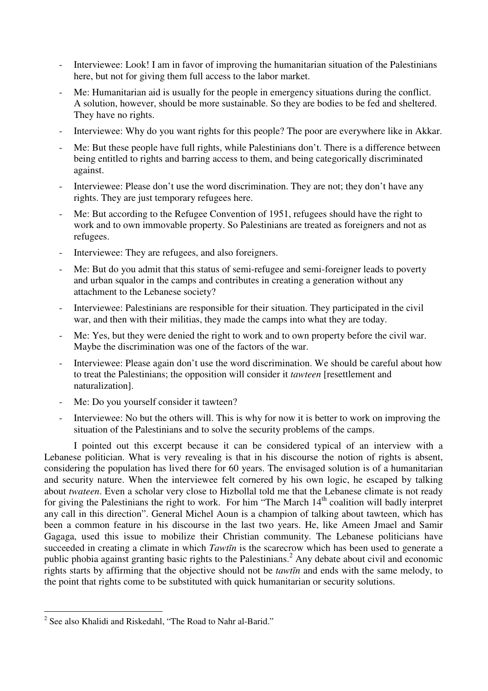- Interviewee: Look! I am in favor of improving the humanitarian situation of the Palestinians here, but not for giving them full access to the labor market.
- Me: Humanitarian aid is usually for the people in emergency situations during the conflict. A solution, however, should be more sustainable. So they are bodies to be fed and sheltered. They have no rights.
- Interviewee: Why do you want rights for this people? The poor are everywhere like in Akkar.
- Me: But these people have full rights, while Palestinians don't. There is a difference between being entitled to rights and barring access to them, and being categorically discriminated against.
- Interviewee: Please don't use the word discrimination. They are not; they don't have any rights. They are just temporary refugees here.
- Me: But according to the Refugee Convention of 1951, refugees should have the right to work and to own immovable property. So Palestinians are treated as foreigners and not as refugees.
- Interviewee: They are refugees, and also foreigners.
- Me: But do you admit that this status of semi-refugee and semi-foreigner leads to poverty and urban squalor in the camps and contributes in creating a generation without any attachment to the Lebanese society?
- Interviewee: Palestinians are responsible for their situation. They participated in the civil war, and then with their militias, they made the camps into what they are today.
- Me: Yes, but they were denied the right to work and to own property before the civil war. Maybe the discrimination was one of the factors of the war.
- Interviewee: Please again don't use the word discrimination. We should be careful about how to treat the Palestinians; the opposition will consider it *tawteen* [resettlement and naturalization].
- Me: Do you yourself consider it tawteen?
- Interviewee: No but the others will. This is why for now it is better to work on improving the situation of the Palestinians and to solve the security problems of the camps.

I pointed out this excerpt because it can be considered typical of an interview with a Lebanese politician. What is very revealing is that in his discourse the notion of rights is absent, considering the population has lived there for 60 years. The envisaged solution is of a humanitarian and security nature. When the interviewee felt cornered by his own logic, he escaped by talking about *twateen*. Even a scholar very close to Hizbollal told me that the Lebanese climate is not ready for giving the Palestinians the right to work. For him "The March 14<sup>th</sup> coalition will badly interpret any call in this direction". General Michel Aoun is a champion of talking about tawteen, which has been a common feature in his discourse in the last two years. He, like Ameen Jmael and Samir Gagaga, used this issue to mobilize their Christian community. The Lebanese politicians have succeeded in creating a climate in which *Tawt*ī*n* is the scarecrow which has been used to generate a public phobia against granting basic rights to the Palestinians.<sup>2</sup> Any debate about civil and economic rights starts by affirming that the objective should not be *tawt*ī*n* and ends with the same melody, to the point that rights come to be substituted with quick humanitarian or security solutions.

 $\overline{a}$ <sup>2</sup> See also Khalidi and Riskedahl, "The Road to Nahr al-Barid."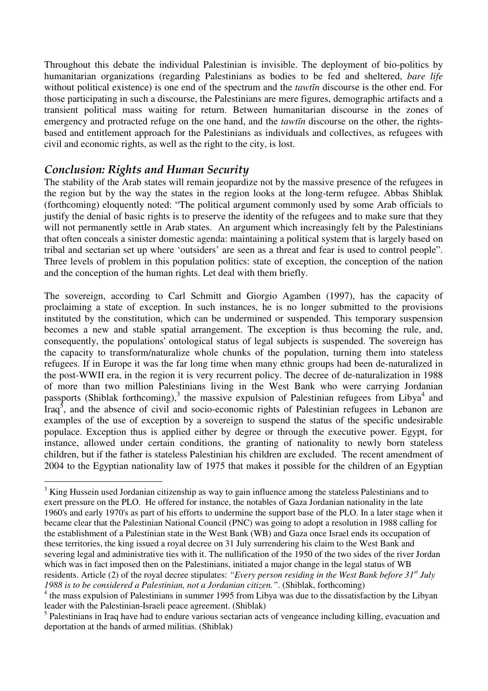Throughout this debate the individual Palestinian is invisible. The deployment of bio-politics by humanitarian organizations (regarding Palestinians as bodies to be fed and sheltered, *bare life* without political existence) is one end of the spectrum and the *tawt*ī*n* discourse is the other end. For those participating in such a discourse, the Palestinians are mere figures, demographic artifacts and a transient political mass waiting for return. Between humanitarian discourse in the zones of emergency and protracted refuge on the one hand, and the *tawt*ī*n* discourse on the other, the rightsbased and entitlement approach for the Palestinians as individuals and collectives, as refugees with civil and economic rights, as well as the right to the city, is lost.

## Conclusion: Rights and Human Security

The stability of the Arab states will remain jeopardize not by the massive presence of the refugees in the region but by the way the states in the region looks at the long-term refugee. Abbas Shiblak (forthcoming) eloquently noted: "The political argument commonly used by some Arab officials to justify the denial of basic rights is to preserve the identity of the refugees and to make sure that they will not permanently settle in Arab states. An argument which increasingly felt by the Palestinians that often conceals a sinister domestic agenda: maintaining a political system that is largely based on tribal and sectarian set up where 'outsiders' are seen as a threat and fear is used to control people". Three levels of problem in this population politics: state of exception, the conception of the nation and the conception of the human rights. Let deal with them briefly.

The sovereign, according to Carl Schmitt and Giorgio Agamben (1997), has the capacity of proclaiming a state of exception. In such instances, he is no longer submitted to the provisions instituted by the constitution, which can be undermined or suspended. This temporary suspension becomes a new and stable spatial arrangement. The exception is thus becoming the rule, and, consequently, the populations' ontological status of legal subjects is suspended. The sovereign has the capacity to transform/naturalize whole chunks of the population, turning them into stateless refugees. If in Europe it was the far long time when many ethnic groups had been de-naturalized in the post-WWII era, in the region it is very recurrent policy. The decree of de-naturalization in 1988 of more than two million Palestinians living in the West Bank who were carrying Jordanian passports (Shiblak forthcoming),<sup>3</sup> the massive expulsion of Palestinian refugees from Libya<sup>4</sup> and Iraq<sup>5</sup>, and the absence of civil and socio-economic rights of Palestinian refugees in Lebanon are examples of the use of exception by a sovereign to suspend the status of the specific undesirable populace. Exception thus is applied either by degree or through the executive power. Egypt, for instance, allowed under certain conditions, the granting of nationality to newly born stateless children, but if the father is stateless Palestinian his children are excluded. The recent amendment of 2004 to the Egyptian nationality law of 1975 that makes it possible for the children of an Egyptian

<sup>&</sup>lt;sup>3</sup> King Hussein used Jordanian citizenship as way to gain influence among the stateless Palestinians and to exert pressure on the PLO. He offered for instance, the notables of Gaza Jordanian nationality in the late 1960's and early 1970's as part of his efforts to undermine the support base of the PLO. In a later stage when it became clear that the Palestinian National Council (PNC) was going to adopt a resolution in 1988 calling for the establishment of a Palestinian state in the West Bank (WB) and Gaza once Israel ends its occupation of these territories, the king issued a royal decree on 31 July surrendering his claim to the West Bank and severing legal and administrative ties with it. The nullification of the 1950 of the two sides of the river Jordan which was in fact imposed then on the Palestinians, initiated a major change in the legal status of WB residents. Article (2) of the royal decree stipulates: *"Every person residing in the West Bank before 31st July 1988 is to be considered a Palestinian, not a Jordanian citizen."*. (Shiblak, forthcoming)

<sup>&</sup>lt;sup>4</sup> the mass expulsion of Palestinians in summer 1995 from Libya was due to the dissatisfaction by the Libyan leader with the Palestinian-Israeli peace agreement. (Shiblak)

<sup>&</sup>lt;sup>5</sup> Palestinians in Iraq have had to endure various sectarian acts of vengeance including killing, evacuation and deportation at the hands of armed militias. (Shiblak)